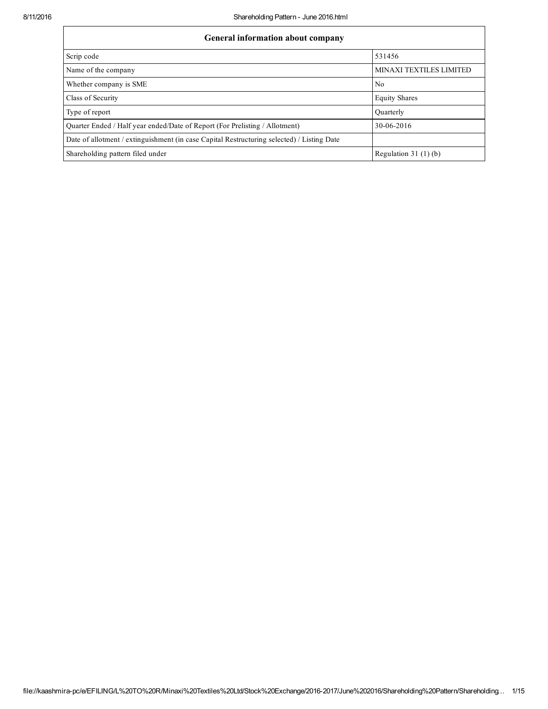| General information about company                                                          |                         |  |  |  |  |  |  |
|--------------------------------------------------------------------------------------------|-------------------------|--|--|--|--|--|--|
| Scrip code                                                                                 | 531456                  |  |  |  |  |  |  |
| Name of the company                                                                        | MINAXI TEXTILES LIMITED |  |  |  |  |  |  |
| Whether company is SME                                                                     | N <sub>0</sub>          |  |  |  |  |  |  |
| Class of Security                                                                          | <b>Equity Shares</b>    |  |  |  |  |  |  |
| Type of report                                                                             | Ouarterly               |  |  |  |  |  |  |
| Quarter Ended / Half year ended/Date of Report (For Prelisting / Allotment)                | 30-06-2016              |  |  |  |  |  |  |
| Date of allotment / extinguishment (in case Capital Restructuring selected) / Listing Date |                         |  |  |  |  |  |  |
| Shareholding pattern filed under                                                           | Regulation $31(1)(b)$   |  |  |  |  |  |  |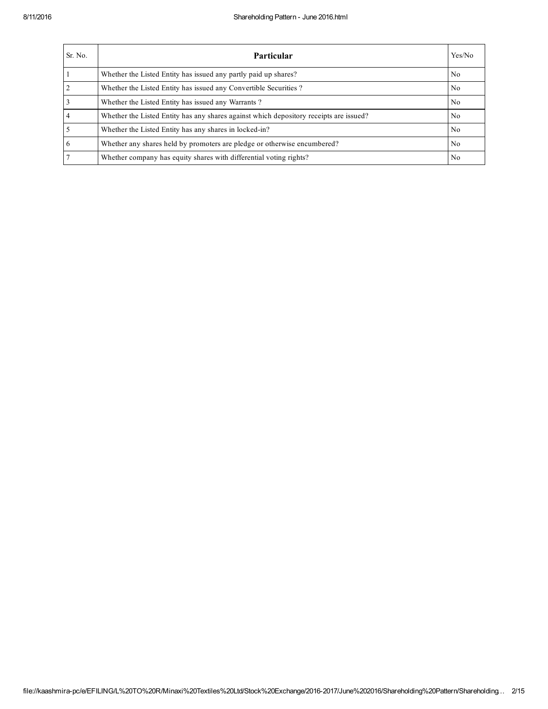| Sr. No.         | <b>Particular</b>                                                                      | Yes/No         |
|-----------------|----------------------------------------------------------------------------------------|----------------|
|                 | Whether the Listed Entity has issued any partly paid up shares?                        | N <sub>0</sub> |
| $\overline{2}$  | Whether the Listed Entity has issued any Convertible Securities?                       | No             |
| $\overline{3}$  | Whether the Listed Entity has issued any Warrants?                                     | N <sub>0</sub> |
| $\overline{4}$  | Whether the Listed Entity has any shares against which depository receipts are issued? | N <sub>0</sub> |
| $\overline{5}$  | Whether the Listed Entity has any shares in locked-in?                                 | N <sub>0</sub> |
| $6\overline{6}$ | Whether any shares held by promoters are pledge or otherwise encumbered?               | N <sub>0</sub> |
| $\overline{7}$  | Whether company has equity shares with differential voting rights?                     | No             |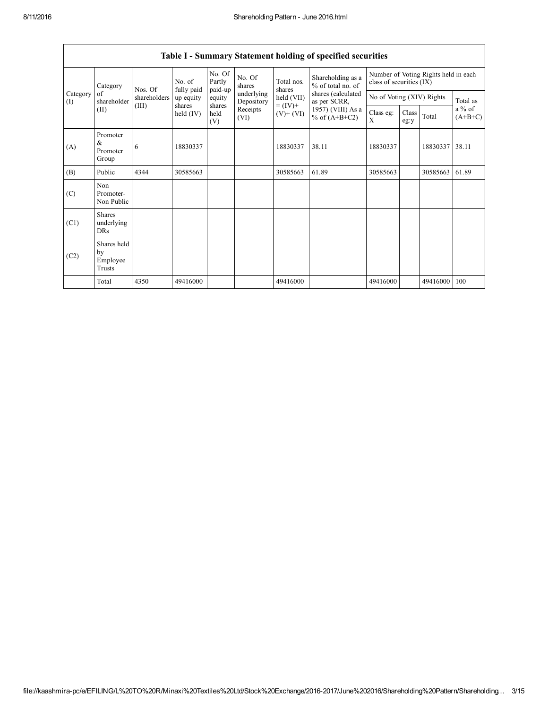|                 | Category                                | Nos. Of      | No. of<br>fully paid  | No. Of<br>Partly<br>paid-up | No. Of<br>shares         | Total nos.<br>shares         | Shareholding as a<br>% of total no. of | Number of Voting Rights held in each<br>class of securities (IX) |               |          |                     |
|-----------------|-----------------------------------------|--------------|-----------------------|-----------------------------|--------------------------|------------------------------|----------------------------------------|------------------------------------------------------------------|---------------|----------|---------------------|
| Category<br>(I) | of<br>shareholder                       | shareholders | up equity             | equity                      | underlying<br>Depository | held (VII)                   | shares (calculated<br>as per SCRR,     | No of Voting (XIV) Rights                                        |               |          | Total as            |
|                 | (II)                                    | (III)        | shares<br>held $(IV)$ | shares<br>held<br>(V)       | Receipts<br>(VI)         | $= (IV) +$<br>$(V)$ + $(VI)$ | 1957) (VIII) As a<br>% of $(A+B+C2)$   | Class eg:<br>X                                                   | Class<br>eg:y | Total    | a % of<br>$(A+B+C)$ |
| (A)             | Promoter<br>&<br>Promoter<br>Group      | 6            | 18830337              |                             |                          | 18830337                     | 38.11                                  | 18830337                                                         |               | 18830337 | 38.11               |
| (B)             | Public                                  | 4344         | 30585663              |                             |                          | 30585663                     | 61.89                                  | 30585663                                                         |               | 30585663 | 61.89               |
| (C)             | Non<br>Promoter-<br>Non Public          |              |                       |                             |                          |                              |                                        |                                                                  |               |          |                     |
| (C1)            | <b>Shares</b><br>underlying<br>DRs      |              |                       |                             |                          |                              |                                        |                                                                  |               |          |                     |
| (C2)            | Shares held<br>by<br>Employee<br>Trusts |              |                       |                             |                          |                              |                                        |                                                                  |               |          |                     |
|                 | Total                                   | 4350         | 49416000              |                             |                          | 49416000                     |                                        | 49416000                                                         |               | 49416000 | 100                 |

## Table I - Summary Statement holding of specified securities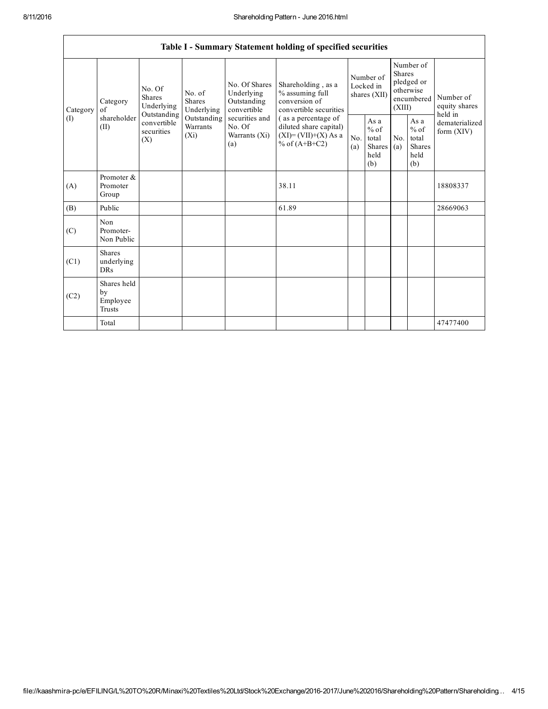$\mathsf{r}$ 

|                 |                                                |                                                                                                                                                                         |                                                  |                                                                                             | Table I - Summary Statement holding of specified securities                      |                                                         |            |                                                                               |                                |                                       |
|-----------------|------------------------------------------------|-------------------------------------------------------------------------------------------------------------------------------------------------------------------------|--------------------------------------------------|---------------------------------------------------------------------------------------------|----------------------------------------------------------------------------------|---------------------------------------------------------|------------|-------------------------------------------------------------------------------|--------------------------------|---------------------------------------|
| Category<br>(I) | Category<br>of<br>shareholder<br>(II)          | No. Of<br>No. of<br><b>Shares</b><br><b>Shares</b><br>Underlying<br>Underlying<br>Outstanding<br>Outstanding<br>convertible<br>Warrants<br>securities<br>$(X_i)$<br>(X) |                                                  | No. Of Shares<br>Underlying<br>Outstanding<br>convertible                                   | Shareholding, as a<br>% assuming full<br>conversion of<br>convertible securities | Number of<br>Locked in<br>shares (XII)                  |            | Number of<br><b>Shares</b><br>pledged or<br>otherwise<br>encumbered<br>(XIII) |                                | Number of<br>equity shares<br>held in |
|                 |                                                |                                                                                                                                                                         | securities and<br>No. Of<br>Warrants (Xi)<br>(a) | (as a percentage of<br>diluted share capital)<br>$(XI) = (VII)+(X) As a$<br>% of $(A+B+C2)$ | No.<br>(a)                                                                       | As a<br>$%$ of<br>total<br><b>Shares</b><br>held<br>(b) | No.<br>(a) | As a<br>$%$ of<br>total<br><b>Shares</b><br>held<br>(b)                       | dematerialized<br>form $(XIV)$ |                                       |
| (A)             | Promoter &<br>Promoter<br>Group                |                                                                                                                                                                         |                                                  |                                                                                             | 38.11                                                                            |                                                         |            |                                                                               |                                | 18808337                              |
| (B)             | Public                                         |                                                                                                                                                                         |                                                  |                                                                                             | 61.89                                                                            |                                                         |            |                                                                               |                                | 28669063                              |
| (C)             | Non<br>Promoter-<br>Non Public                 |                                                                                                                                                                         |                                                  |                                                                                             |                                                                                  |                                                         |            |                                                                               |                                |                                       |
| (C1)            | <b>Shares</b><br>underlying<br><b>DRs</b>      |                                                                                                                                                                         |                                                  |                                                                                             |                                                                                  |                                                         |            |                                                                               |                                |                                       |
| (C2)            | Shares held<br>by<br>Employee<br><b>Trusts</b> |                                                                                                                                                                         |                                                  |                                                                                             |                                                                                  |                                                         |            |                                                                               |                                |                                       |
|                 | Total                                          |                                                                                                                                                                         |                                                  |                                                                                             |                                                                                  |                                                         |            |                                                                               |                                | 47477400                              |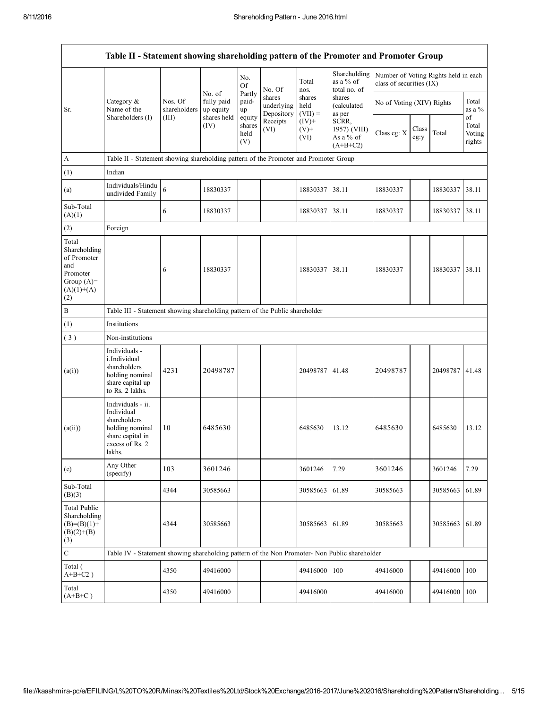|                                                                                                | Table II - Statement showing shareholding pattern of the Promoter and Promoter Group                                |                                                                                      |                                                  |                            |                                    |                             |                                                  |                                                                  |               |                |                           |
|------------------------------------------------------------------------------------------------|---------------------------------------------------------------------------------------------------------------------|--------------------------------------------------------------------------------------|--------------------------------------------------|----------------------------|------------------------------------|-----------------------------|--------------------------------------------------|------------------------------------------------------------------|---------------|----------------|---------------------------|
|                                                                                                |                                                                                                                     |                                                                                      |                                                  | No.<br><b>Of</b><br>Partly | No. Of                             | Total<br>nos.               | Shareholding<br>as a % of<br>total no. of        | Number of Voting Rights held in each<br>class of securities (IX) |               |                |                           |
| Sr.                                                                                            | Category &<br>Name of the<br>Shareholders (I)                                                                       | Nos. Of<br>shareholders<br>(III)                                                     | No. of<br>fully paid<br>up equity<br>shares held | paid-<br>up<br>equity      | shares<br>underlying<br>Depository | shares<br>held<br>$(VII) =$ | shares<br>(calculated<br>as per                  | No of Voting (XIV) Rights                                        |               |                | Total<br>as a %<br>of     |
|                                                                                                |                                                                                                                     |                                                                                      | (IV)                                             | shares<br>held<br>(V)      | Receipts<br>(VI)                   | $(IV)+$<br>$(V)$ +<br>(VI)  | SCRR,<br>1957) (VIII)<br>As a % of<br>$(A+B+C2)$ | Class eg: X                                                      | Class<br>eg:y | Total          | Total<br>Voting<br>rights |
| A                                                                                              |                                                                                                                     | Table II - Statement showing shareholding pattern of the Promoter and Promoter Group |                                                  |                            |                                    |                             |                                                  |                                                                  |               |                |                           |
| (1)                                                                                            | Indian                                                                                                              |                                                                                      |                                                  |                            |                                    |                             |                                                  |                                                                  |               |                |                           |
| (a)                                                                                            | Individuals/Hindu<br>undivided Family                                                                               | 6                                                                                    | 18830337                                         |                            |                                    | 18830337                    | 38.11                                            | 18830337                                                         |               | 18830337       | 38.11                     |
| Sub-Total<br>(A)(1)                                                                            |                                                                                                                     | 6                                                                                    | 18830337                                         |                            |                                    | 18830337                    | 38.11                                            | 18830337                                                         |               | 18830337       | 38.11                     |
| (2)                                                                                            | Foreign                                                                                                             |                                                                                      |                                                  |                            |                                    |                             |                                                  |                                                                  |               |                |                           |
| Total<br>Shareholding<br>of Promoter<br>and<br>Promoter<br>Group $(A)=$<br>$(A)(1)+(A)$<br>(2) |                                                                                                                     | 6                                                                                    | 18830337                                         |                            |                                    | 18830337                    | 38.11                                            | 18830337                                                         |               | 18830337       | 38.11                     |
| $\, {\bf B}$                                                                                   | Table III - Statement showing shareholding pattern of the Public shareholder                                        |                                                                                      |                                                  |                            |                                    |                             |                                                  |                                                                  |               |                |                           |
| (1)                                                                                            | Institutions                                                                                                        |                                                                                      |                                                  |                            |                                    |                             |                                                  |                                                                  |               |                |                           |
| (3)                                                                                            | Non-institutions                                                                                                    |                                                                                      |                                                  |                            |                                    |                             |                                                  |                                                                  |               |                |                           |
| (a(i))                                                                                         | Individuals -<br>i.Individual<br>shareholders<br>holding nominal<br>share capital up<br>to Rs. 2 lakhs.             | 4231                                                                                 | 20498787                                         |                            |                                    | 20498787                    | 41.48                                            | 20498787                                                         |               | 20498787 41.48 |                           |
| (a(ii))                                                                                        | Individuals - ii.<br>Individual<br>shareholders<br>holding nominal<br>share capital in<br>excess of Rs. 2<br>lakhs. | 10                                                                                   | 6485630                                          |                            |                                    | 6485630                     | 13.12                                            | 6485630                                                          |               | 6485630        | 13.12                     |
| (e)                                                                                            | Any Other<br>(specify)                                                                                              | 103                                                                                  | 3601246                                          |                            |                                    | 3601246                     | 7.29                                             | 3601246                                                          |               | 3601246        | 7.29                      |
| Sub-Total<br>(B)(3)                                                                            |                                                                                                                     | 4344                                                                                 | 30585663                                         |                            |                                    | 30585663                    | 61.89                                            | 30585663                                                         |               | 30585663       | 61.89                     |
| <b>Total Public</b><br>Shareholding<br>$(B)=(B)(1)+$<br>$(B)(2)+(B)$<br>(3)                    |                                                                                                                     | 4344                                                                                 | 30585663                                         |                            |                                    | 30585663                    | 61.89                                            | 30585663                                                         |               | 30585663       | 61.89                     |
| $\mathbf C$                                                                                    | Table IV - Statement showing shareholding pattern of the Non Promoter- Non Public shareholder                       |                                                                                      |                                                  |                            |                                    |                             |                                                  |                                                                  |               |                |                           |
| Total (<br>$A+B+C2$ )                                                                          |                                                                                                                     | 4350                                                                                 | 49416000                                         |                            |                                    | 49416000                    | 100                                              | 49416000                                                         |               | 49416000       | 100                       |
| Total<br>$(A+B+C)$                                                                             |                                                                                                                     | 4350                                                                                 | 49416000                                         |                            |                                    | 49416000                    |                                                  | 49416000                                                         |               | 49416000       | 100                       |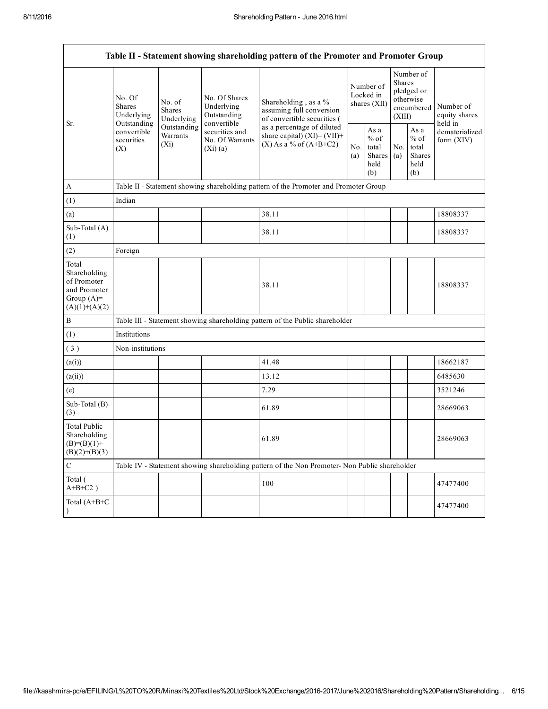|                                                                                         | Table II - Statement showing shareholding pattern of the Promoter and Promoter Group                                                                                    |                                                           |                                                                                 |                                                                                               |  |                                                                               |            |                                                  |                              |  |
|-----------------------------------------------------------------------------------------|-------------------------------------------------------------------------------------------------------------------------------------------------------------------------|-----------------------------------------------------------|---------------------------------------------------------------------------------|-----------------------------------------------------------------------------------------------|--|-------------------------------------------------------------------------------|------------|--------------------------------------------------|------------------------------|--|
| Sr.                                                                                     | No. Of<br>No. of<br><b>Shares</b><br><b>Shares</b><br>Underlying<br>Underlying<br>Outstanding<br>Outstanding<br>convertible<br>Warrants<br>securities<br>$(X_i)$<br>(X) | No. Of Shares<br>Underlying<br>Outstanding<br>convertible | Shareholding, as a %<br>assuming full conversion<br>of convertible securities ( | Number of<br>Locked in<br>shares $(XII)$                                                      |  | Number of<br><b>Shares</b><br>pledged or<br>otherwise<br>encumbered<br>(XIII) |            | Number of<br>equity shares<br>held in            |                              |  |
|                                                                                         |                                                                                                                                                                         |                                                           | securities and<br>No. Of Warrants<br>(Xi)(a)                                    | as a percentage of diluted<br>share capital) $(XI) = (VII) +$<br>$(X)$ As a % of $(A+B+C2)$   |  | As a<br>$%$ of<br>total<br>Shares<br>held<br>(b)                              | No.<br>(a) | As a<br>$%$ of<br>total<br>Shares<br>held<br>(b) | dematerialized<br>form (XIV) |  |
| A                                                                                       |                                                                                                                                                                         |                                                           |                                                                                 | Table II - Statement showing shareholding pattern of the Promoter and Promoter Group          |  |                                                                               |            |                                                  |                              |  |
| (1)                                                                                     | Indian                                                                                                                                                                  |                                                           |                                                                                 |                                                                                               |  |                                                                               |            |                                                  |                              |  |
| (a)                                                                                     |                                                                                                                                                                         |                                                           |                                                                                 | 38.11                                                                                         |  |                                                                               |            |                                                  | 18808337                     |  |
| Sub-Total (A)<br>(1)                                                                    |                                                                                                                                                                         |                                                           |                                                                                 | 38.11                                                                                         |  |                                                                               |            |                                                  | 18808337                     |  |
| (2)                                                                                     | Foreign                                                                                                                                                                 |                                                           |                                                                                 |                                                                                               |  |                                                                               |            |                                                  |                              |  |
| Total<br>Shareholding<br>of Promoter<br>and Promoter<br>Group $(A)=$<br>$(A)(1)+(A)(2)$ |                                                                                                                                                                         |                                                           |                                                                                 | 38.11                                                                                         |  |                                                                               |            |                                                  | 18808337                     |  |
| $\, {\bf B}$                                                                            |                                                                                                                                                                         |                                                           |                                                                                 | Table III - Statement showing shareholding pattern of the Public shareholder                  |  |                                                                               |            |                                                  |                              |  |
| (1)                                                                                     | Institutions                                                                                                                                                            |                                                           |                                                                                 |                                                                                               |  |                                                                               |            |                                                  |                              |  |
| (3)                                                                                     | Non-institutions                                                                                                                                                        |                                                           |                                                                                 |                                                                                               |  |                                                                               |            |                                                  |                              |  |
| (a(i))                                                                                  |                                                                                                                                                                         |                                                           |                                                                                 | 41.48                                                                                         |  |                                                                               |            |                                                  | 18662187                     |  |
| (a(ii))                                                                                 |                                                                                                                                                                         |                                                           |                                                                                 | 13.12                                                                                         |  |                                                                               |            |                                                  | 6485630                      |  |
| (e)                                                                                     |                                                                                                                                                                         |                                                           |                                                                                 | 7.29                                                                                          |  |                                                                               |            |                                                  | 3521246                      |  |
| Sub-Total (B)<br>(3)                                                                    |                                                                                                                                                                         |                                                           |                                                                                 | 61.89                                                                                         |  |                                                                               |            |                                                  | 28669063                     |  |
| <b>Total Public</b><br>Shareholding<br>$(B)=(B)(1)+$<br>$(B)(2)+(B)(3)$                 |                                                                                                                                                                         |                                                           |                                                                                 | 61.89                                                                                         |  |                                                                               |            |                                                  | 28669063                     |  |
| $\mathbf C$                                                                             |                                                                                                                                                                         |                                                           |                                                                                 | Table IV - Statement showing shareholding pattern of the Non Promoter- Non Public shareholder |  |                                                                               |            |                                                  |                              |  |
| Total (<br>$A+B+C2$ )                                                                   |                                                                                                                                                                         |                                                           |                                                                                 | 100                                                                                           |  |                                                                               |            |                                                  | 47477400                     |  |
| Total (A+B+C                                                                            |                                                                                                                                                                         |                                                           |                                                                                 |                                                                                               |  |                                                                               |            |                                                  | 47477400                     |  |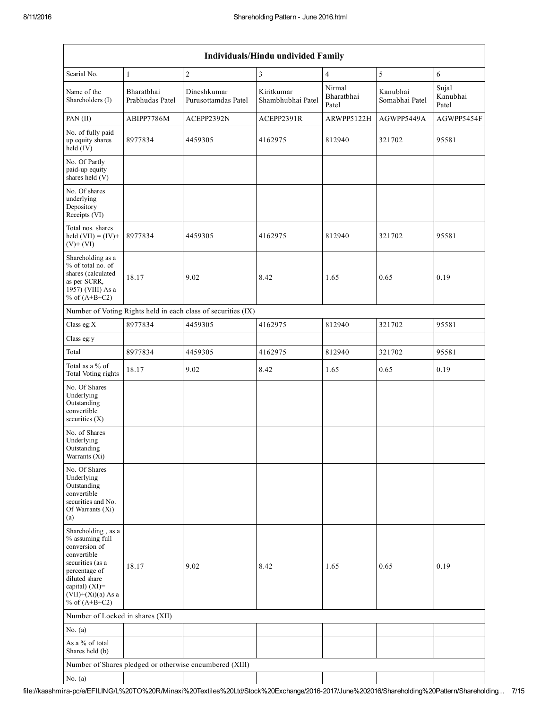| <b>Individuals/Hindu undivided Family</b>                                                                                                                                                |                               |                                                               |                                 |                               |                            |                            |  |  |  |
|------------------------------------------------------------------------------------------------------------------------------------------------------------------------------------------|-------------------------------|---------------------------------------------------------------|---------------------------------|-------------------------------|----------------------------|----------------------------|--|--|--|
| Searial No.                                                                                                                                                                              | $\,1\,$                       | $\boldsymbol{2}$                                              | 3                               | $\overline{4}$                | 5                          | 6                          |  |  |  |
| Name of the<br>Shareholders (I)                                                                                                                                                          | Bharatbhai<br>Prabhudas Patel | Dineshkumar<br>Purusottamdas Patel                            | Kiritkumar<br>Shambhubhai Patel | Nirmal<br>Bharathhai<br>Patel | Kanubhai<br>Somabhai Patel | Sujal<br>Kanubhai<br>Patel |  |  |  |
| PAN $(II)$                                                                                                                                                                               | ABIPP7786M                    | ACEPP2392N                                                    | ACEPP2391R                      | ARWPP5122H                    | AGWPP5449A                 | AGWPP5454F                 |  |  |  |
| No. of fully paid<br>up equity shares<br>held (IV)                                                                                                                                       | 8977834                       | 4459305                                                       | 4162975                         | 812940                        | 321702                     | 95581                      |  |  |  |
| No. Of Partly<br>paid-up equity<br>shares held (V)                                                                                                                                       |                               |                                                               |                                 |                               |                            |                            |  |  |  |
| No. Of shares<br>underlying<br>Depository<br>Receipts (VI)                                                                                                                               |                               |                                                               |                                 |                               |                            |                            |  |  |  |
| Total nos. shares<br>held $(VII) = (IV) +$<br>$(V)$ + $(VI)$                                                                                                                             | 8977834                       | 4459305                                                       | 4162975                         | 812940                        | 321702                     | 95581                      |  |  |  |
| Shareholding as a<br>% of total no. of<br>shares (calculated<br>as per SCRR,<br>1957) (VIII) As a<br>% of $(A+B+C2)$                                                                     | 18.17                         | 9.02                                                          | 8.42                            | 1.65                          | 0.65                       | 0.19                       |  |  |  |
|                                                                                                                                                                                          |                               | Number of Voting Rights held in each class of securities (IX) |                                 |                               |                            |                            |  |  |  |
| Class eg: $X$                                                                                                                                                                            | 8977834                       | 4459305                                                       | 4162975                         | 812940                        | 321702                     | 95581                      |  |  |  |
| Class eg:y                                                                                                                                                                               |                               |                                                               |                                 |                               |                            |                            |  |  |  |
| Total                                                                                                                                                                                    | 8977834                       | 4459305                                                       | 4162975                         | 812940                        | 321702                     | 95581                      |  |  |  |
| Total as a % of<br>Total Voting rights                                                                                                                                                   | 18.17                         | 9.02                                                          | 8.42                            | 1.65                          | 0.65                       | 0.19                       |  |  |  |
| No. Of Shares<br>Underlying<br>Outstanding<br>convertible<br>securities $(X)$                                                                                                            |                               |                                                               |                                 |                               |                            |                            |  |  |  |
| No. of Shares<br>Underlying<br>Outstanding<br>Warrants (Xi)                                                                                                                              |                               |                                                               |                                 |                               |                            |                            |  |  |  |
| No. Of Shares<br>Underlying<br>Outstanding<br>convertible<br>securities and No.<br>Of Warrants (Xi)<br>(a)                                                                               |                               |                                                               |                                 |                               |                            |                            |  |  |  |
| Shareholding, as a<br>% assuming full<br>conversion of<br>convertible<br>securities (as a<br>percentage of<br>diluted share<br>capital) (XI)=<br>$(VII)+(Xi)(a)$ As a<br>% of $(A+B+C2)$ | 18.17                         | 9.02                                                          | 8.42                            | 1.65                          | 0.65                       | 0.19                       |  |  |  |
| Number of Locked in shares (XII)                                                                                                                                                         |                               |                                                               |                                 |                               |                            |                            |  |  |  |
| No. $(a)$                                                                                                                                                                                |                               |                                                               |                                 |                               |                            |                            |  |  |  |
| As a % of total<br>Shares held (b)                                                                                                                                                       |                               |                                                               |                                 |                               |                            |                            |  |  |  |
|                                                                                                                                                                                          |                               | Number of Shares pledged or otherwise encumbered (XIII)       |                                 |                               |                            |                            |  |  |  |
| No. $(a)$                                                                                                                                                                                |                               |                                                               |                                 |                               |                            |                            |  |  |  |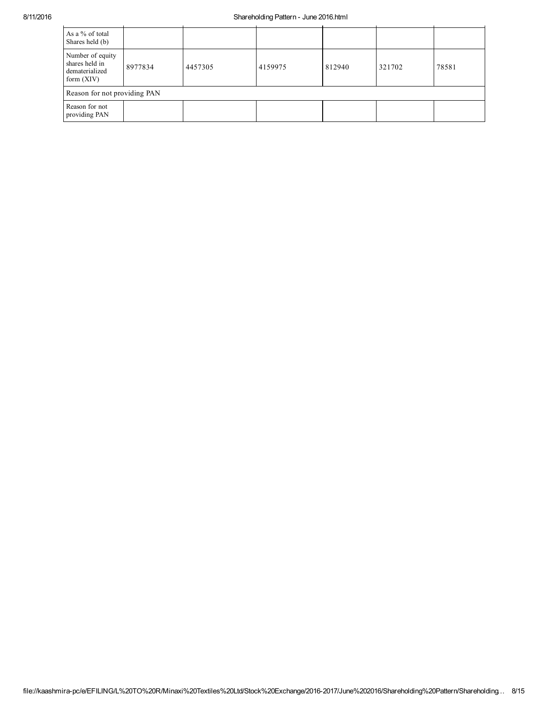## 8/11/2016 Shareholding Pattern - June 2016.html

| As a % of total<br>Shares held (b)                                   |                              |         |         |        |        |       |  |  |  |
|----------------------------------------------------------------------|------------------------------|---------|---------|--------|--------|-------|--|--|--|
| Number of equity<br>shares held in<br>dematerialized<br>form $(XIV)$ | 8977834                      | 4457305 | 4159975 | 812940 | 321702 | 78581 |  |  |  |
|                                                                      | Reason for not providing PAN |         |         |        |        |       |  |  |  |
| Reason for not<br>providing PAN                                      |                              |         |         |        |        |       |  |  |  |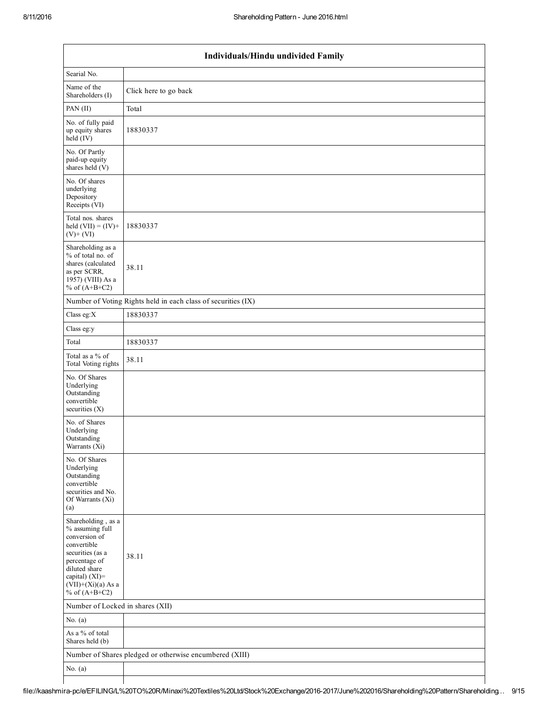|                                                                                                                                                                                          | Individuals/Hindu undivided Family                            |  |  |  |  |  |  |  |  |
|------------------------------------------------------------------------------------------------------------------------------------------------------------------------------------------|---------------------------------------------------------------|--|--|--|--|--|--|--|--|
| Searial No.                                                                                                                                                                              |                                                               |  |  |  |  |  |  |  |  |
| Name of the<br>Shareholders (I)                                                                                                                                                          | Click here to go back                                         |  |  |  |  |  |  |  |  |
| PAN (II)                                                                                                                                                                                 | Total                                                         |  |  |  |  |  |  |  |  |
| No. of fully paid<br>up equity shares<br>$\text{held}(\text{IV})$                                                                                                                        | 18830337                                                      |  |  |  |  |  |  |  |  |
| No. Of Partly<br>paid-up equity<br>shares held $(V)$                                                                                                                                     |                                                               |  |  |  |  |  |  |  |  |
| No. Of shares<br>underlying<br>Depository<br>Receipts (VI)                                                                                                                               |                                                               |  |  |  |  |  |  |  |  |
| Total nos. shares<br>held $(VII) = (IV) +$<br>$(V)$ + $(VI)$                                                                                                                             | 18830337                                                      |  |  |  |  |  |  |  |  |
| Shareholding as a<br>% of total no. of<br>shares (calculated<br>as per SCRR,<br>1957) (VIII) As a<br>% of $(A+B+C2)$                                                                     | 38.11                                                         |  |  |  |  |  |  |  |  |
|                                                                                                                                                                                          | Number of Voting Rights held in each class of securities (IX) |  |  |  |  |  |  |  |  |
| Class eg: $X$                                                                                                                                                                            | 18830337                                                      |  |  |  |  |  |  |  |  |
| Class eg:y                                                                                                                                                                               |                                                               |  |  |  |  |  |  |  |  |
| Total                                                                                                                                                                                    | 18830337                                                      |  |  |  |  |  |  |  |  |
| Total as a % of<br><b>Total Voting rights</b>                                                                                                                                            | 38.11                                                         |  |  |  |  |  |  |  |  |
| No. Of Shares<br>Underlying<br>Outstanding<br>convertible<br>securities (X)                                                                                                              |                                                               |  |  |  |  |  |  |  |  |
| No. of Shares<br>Underlying<br>Outstanding<br>Warrants (Xi)                                                                                                                              |                                                               |  |  |  |  |  |  |  |  |
| No. Of Shares<br>Underlying<br>Outstanding<br>convertible<br>securities and No.<br>Of Warrants (Xi)<br>(a)                                                                               |                                                               |  |  |  |  |  |  |  |  |
| Shareholding, as a<br>% assuming full<br>conversion of<br>convertible<br>securities (as a<br>percentage of<br>diluted share<br>capital) (XI)=<br>$(VII)+(Xi)(a)$ As a<br>% of $(A+B+C2)$ | 38.11                                                         |  |  |  |  |  |  |  |  |
| Number of Locked in shares (XII)                                                                                                                                                         |                                                               |  |  |  |  |  |  |  |  |
| No. $(a)$                                                                                                                                                                                |                                                               |  |  |  |  |  |  |  |  |
| As a % of total<br>Shares held (b)                                                                                                                                                       |                                                               |  |  |  |  |  |  |  |  |
|                                                                                                                                                                                          | Number of Shares pledged or otherwise encumbered (XIII)       |  |  |  |  |  |  |  |  |
| No. $(a)$                                                                                                                                                                                |                                                               |  |  |  |  |  |  |  |  |
|                                                                                                                                                                                          |                                                               |  |  |  |  |  |  |  |  |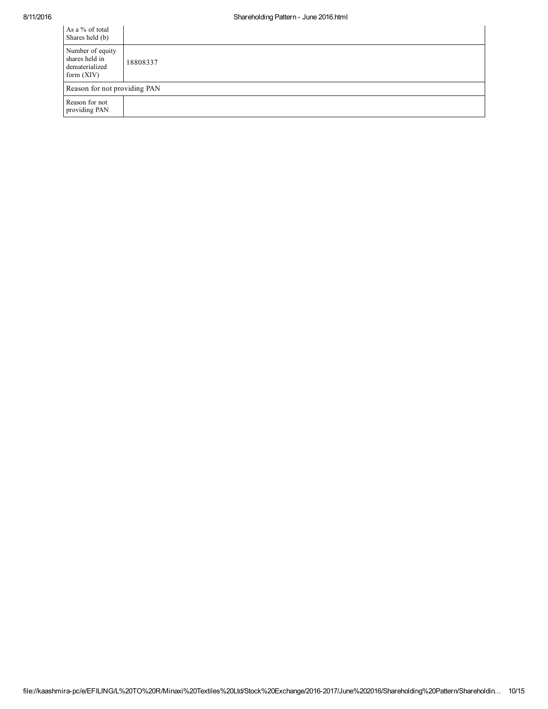| As a % of total<br>Shares held (b)                                   |          |
|----------------------------------------------------------------------|----------|
| Number of equity<br>shares held in<br>dematerialized<br>form $(XIV)$ | 18808337 |
| Reason for not providing PAN                                         |          |
| Reason for not<br>providing PAN                                      |          |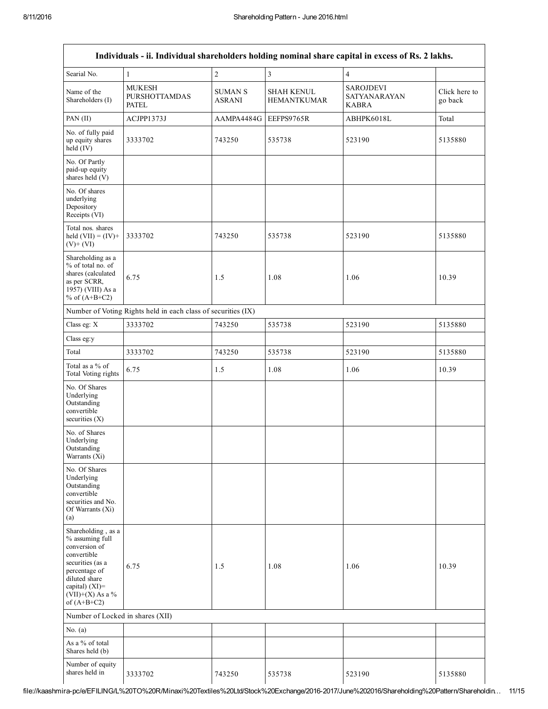|                                                                                                                                                                                      |                                                               |                                 |                                         | Individuals - ii. Individual shareholders holding nominal share capital in excess of Rs. 2 lakhs. |                          |
|--------------------------------------------------------------------------------------------------------------------------------------------------------------------------------------|---------------------------------------------------------------|---------------------------------|-----------------------------------------|---------------------------------------------------------------------------------------------------|--------------------------|
| Searial No.                                                                                                                                                                          | 1                                                             | $\overline{c}$                  | $\overline{\mathbf{3}}$                 | $\overline{4}$                                                                                    |                          |
| Name of the<br>Shareholders (I)                                                                                                                                                      | <b>MUKESH</b><br><b>PURSHOTTAMDAS</b><br><b>PATEL</b>         | <b>SUMAN S</b><br><b>ASRANI</b> | <b>SHAH KENUL</b><br><b>HEMANTKUMAR</b> | <b>SAROJDEVI</b><br><b>SATYANARAYAN</b><br><b>KABRA</b>                                           | Click here to<br>go back |
| PAN (II)                                                                                                                                                                             | ACJPP1373J                                                    | AAMPA4484G                      | EEFPS9765R                              | ABHPK6018L                                                                                        | Total                    |
| No. of fully paid<br>up equity shares<br>held (IV)                                                                                                                                   | 3333702                                                       | 743250                          | 535738                                  | 523190                                                                                            | 5135880                  |
| No. Of Partly<br>paid-up equity<br>shares held (V)                                                                                                                                   |                                                               |                                 |                                         |                                                                                                   |                          |
| No. Of shares<br>underlying<br>Depository<br>Receipts (VI)                                                                                                                           |                                                               |                                 |                                         |                                                                                                   |                          |
| Total nos. shares<br>held $(VII) = (IV) +$<br>$(V)+(VI)$                                                                                                                             | 3333702                                                       | 743250                          | 535738                                  | 523190                                                                                            | 5135880                  |
| Shareholding as a<br>% of total no. of<br>shares (calculated<br>as per SCRR,<br>1957) (VIII) As a<br>% of $(A+B+C2)$                                                                 | 6.75                                                          | 1.5                             | 1.08                                    | 1.06                                                                                              | 10.39                    |
|                                                                                                                                                                                      | Number of Voting Rights held in each class of securities (IX) |                                 |                                         |                                                                                                   |                          |
| Class eg: X                                                                                                                                                                          | 3333702                                                       | 743250                          | 535738                                  | 523190                                                                                            | 5135880                  |
| Class eg:y                                                                                                                                                                           |                                                               |                                 |                                         |                                                                                                   |                          |
| Total                                                                                                                                                                                | 3333702                                                       | 743250                          | 535738                                  | 523190                                                                                            | 5135880                  |
| Total as a % of<br>Total Voting rights                                                                                                                                               | 6.75                                                          | 1.5                             | 1.08                                    | 1.06                                                                                              | 10.39                    |
| No. Of Shares<br>Underlying<br>Outstanding<br>convertible<br>securities (X)                                                                                                          |                                                               |                                 |                                         |                                                                                                   |                          |
| No. of Shares<br>Underlying<br>Outstanding<br>Warrants (Xi)                                                                                                                          |                                                               |                                 |                                         |                                                                                                   |                          |
| No. Of Shares<br>Underlying<br>Outstanding<br>convertible<br>securities and No.<br>Of Warrants (Xi)<br>(a)                                                                           |                                                               |                                 |                                         |                                                                                                   |                          |
| Shareholding, as a<br>% assuming full<br>conversion of<br>convertible<br>securities (as a<br>percentage of<br>diluted share<br>capital) (XI)=<br>$(VII)+(X)$ As a %<br>of $(A+B+C2)$ | 6.75                                                          | 1.5                             | 1.08                                    | 1.06                                                                                              | 10.39                    |
| Number of Locked in shares (XII)                                                                                                                                                     |                                                               |                                 |                                         |                                                                                                   |                          |
| No. $(a)$                                                                                                                                                                            |                                                               |                                 |                                         |                                                                                                   |                          |
| As a % of total<br>Shares held (b)                                                                                                                                                   |                                                               |                                 |                                         |                                                                                                   |                          |
| Number of equity<br>shares held in                                                                                                                                                   | 3333702                                                       | 743250                          | 535738                                  | 523190                                                                                            | 5135880                  |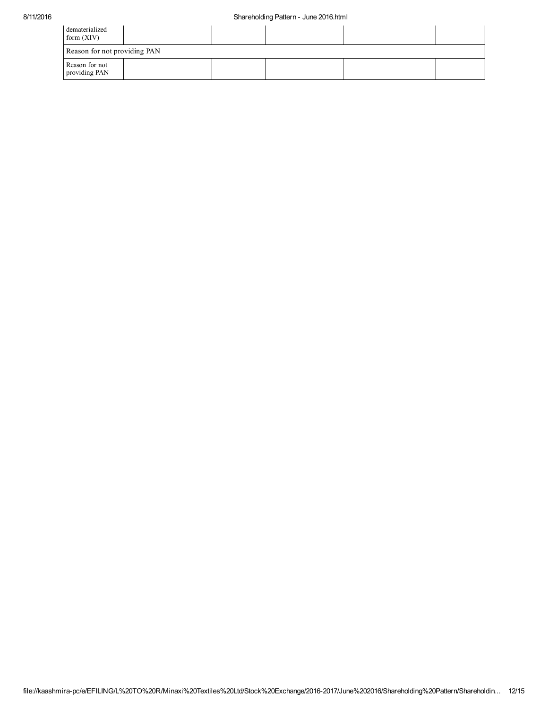| dematerialized<br>form $(XIV)$  |  |  |  |
|---------------------------------|--|--|--|
| Reason for not providing PAN    |  |  |  |
| Reason for not<br>providing PAN |  |  |  |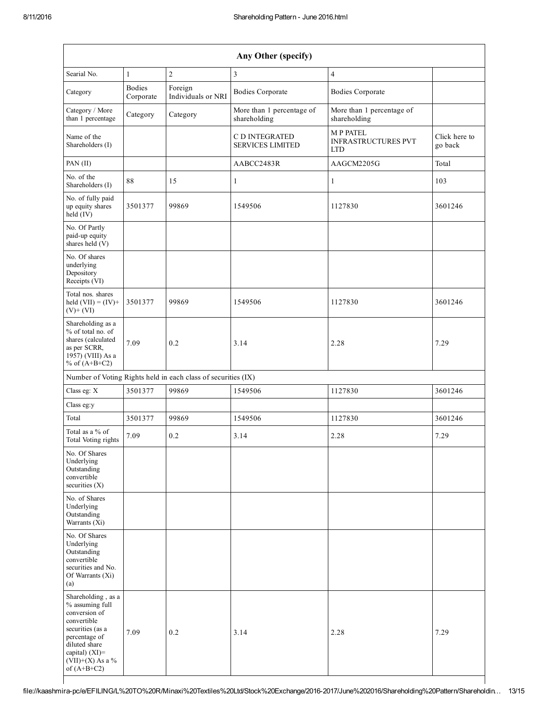| Any Other (specify)                                                                                                                                                                  |                            |                                                               |                                                  |                                                             |                          |  |  |  |
|--------------------------------------------------------------------------------------------------------------------------------------------------------------------------------------|----------------------------|---------------------------------------------------------------|--------------------------------------------------|-------------------------------------------------------------|--------------------------|--|--|--|
| Searial No.                                                                                                                                                                          | 1                          | $\overline{2}$                                                | 3                                                | $\overline{4}$                                              |                          |  |  |  |
| Category                                                                                                                                                                             | <b>Bodies</b><br>Corporate | Foreign<br>Individuals or NRI                                 | <b>Bodies Corporate</b>                          | <b>Bodies Corporate</b>                                     |                          |  |  |  |
| Category / More<br>than 1 percentage                                                                                                                                                 | Category                   | Category                                                      | More than 1 percentage of<br>shareholding        | More than 1 percentage of<br>shareholding                   |                          |  |  |  |
| Name of the<br>Shareholders (I)                                                                                                                                                      |                            |                                                               | <b>C D INTEGRATED</b><br><b>SERVICES LIMITED</b> | <b>MP PATEL</b><br><b>INFRASTRUCTURES PVT</b><br><b>LTD</b> | Click here to<br>go back |  |  |  |
| PAN (II)                                                                                                                                                                             |                            |                                                               | AABCC2483R                                       | AAGCM2205G                                                  | Total                    |  |  |  |
| No. of the<br>Shareholders (I)                                                                                                                                                       | 88                         | 15                                                            | 1                                                | 1                                                           | 103                      |  |  |  |
| No. of fully paid<br>up equity shares<br>$held$ (IV)                                                                                                                                 | 3501377                    | 99869                                                         | 1549506                                          | 1127830                                                     | 3601246                  |  |  |  |
| No. Of Partly<br>paid-up equity<br>shares held (V)                                                                                                                                   |                            |                                                               |                                                  |                                                             |                          |  |  |  |
| No. Of shares<br>underlying<br>Depository<br>Receipts (VI)                                                                                                                           |                            |                                                               |                                                  |                                                             |                          |  |  |  |
| Total nos. shares<br>held $(VII) = (IV) +$<br>$(V)+(VI)$                                                                                                                             | 3501377                    | 99869                                                         | 1549506                                          | 1127830                                                     | 3601246                  |  |  |  |
| Shareholding as a<br>% of total no. of<br>shares (calculated<br>as per SCRR,<br>1957) (VIII) As a<br>% of $(A+B+C2)$                                                                 | 7.09                       | 0.2                                                           | 3.14                                             | 2.28                                                        | 7.29                     |  |  |  |
|                                                                                                                                                                                      |                            | Number of Voting Rights held in each class of securities (IX) |                                                  |                                                             |                          |  |  |  |
| Class eg: X                                                                                                                                                                          | 3501377                    | 99869                                                         | 1549506                                          | 1127830                                                     | 3601246                  |  |  |  |
| Class eg:y                                                                                                                                                                           |                            |                                                               |                                                  |                                                             |                          |  |  |  |
| Total                                                                                                                                                                                | 3501377                    | 99869                                                         | 1549506                                          | 1127830                                                     | 3601246                  |  |  |  |
| Total as a % of<br>Total Voting rights                                                                                                                                               | 7.09                       | 0.2                                                           | 3.14                                             | 2.28                                                        | 7.29                     |  |  |  |
| No. Of Shares<br>Underlying<br>Outstanding<br>convertible<br>securities $(X)$                                                                                                        |                            |                                                               |                                                  |                                                             |                          |  |  |  |
| No. of Shares<br>Underlying<br>Outstanding<br>Warrants (Xi)                                                                                                                          |                            |                                                               |                                                  |                                                             |                          |  |  |  |
| No. Of Shares<br>Underlying<br>Outstanding<br>convertible<br>securities and No.<br>Of Warrants (Xi)<br>(a)                                                                           |                            |                                                               |                                                  |                                                             |                          |  |  |  |
| Shareholding, as a<br>% assuming full<br>conversion of<br>convertible<br>securities (as a<br>percentage of<br>diluted share<br>capital) (XI)=<br>$(VII)+(X)$ As a %<br>of $(A+B+C2)$ | 7.09                       | 0.2                                                           | 3.14                                             | 2.28                                                        | 7.29                     |  |  |  |